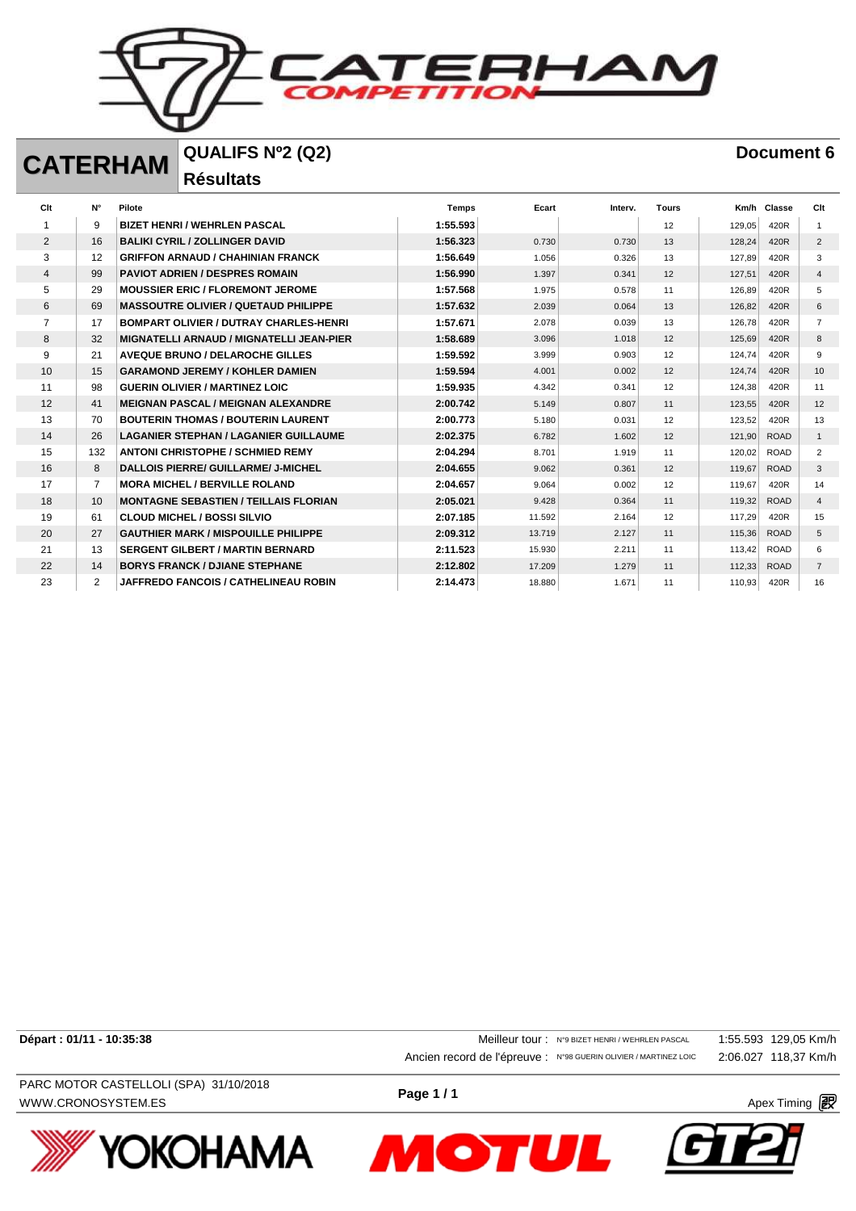**ERHAN**  $\equiv$ 

## **CATERHAM QUALIFS Nº2 (Q2) Document 6**

**Résultats** 

| Clt            | $N^{\circ}$    | Pilote                                          | <b>Temps</b> | Ecart  | Interv. | <b>Tours</b> | Km/h   | Classe      | Clt            |
|----------------|----------------|-------------------------------------------------|--------------|--------|---------|--------------|--------|-------------|----------------|
|                | 9              | <b>BIZET HENRI / WEHRLEN PASCAL</b>             | 1:55.593     |        |         | 12           | 129,05 | 420R        |                |
| 2              | 16             | <b>BALIKI CYRIL / ZOLLINGER DAVID</b>           | 1:56.323     | 0.730  | 0.730   | 13           | 128,24 | 420R        | 2              |
| 3              | 12             | <b>GRIFFON ARNAUD / CHAHINIAN FRANCK</b>        | 1:56.649     | 1.056  | 0.326   | 13           | 127.89 | 420R        | 3              |
| $\overline{4}$ | 99             | <b>PAVIOT ADRIEN / DESPRES ROMAIN</b>           | 1:56.990     | 1.397  | 0.341   | 12           | 127,51 | 420R        | $\overline{4}$ |
| 5              | 29             | <b>MOUSSIER ERIC / FLOREMONT JEROME</b>         | 1:57.568     | 1.975  | 0.578   | 11           | 126,89 | 420R        | 5              |
| 6              | 69             | <b>MASSOUTRE OLIVIER / QUETAUD PHILIPPE</b>     | 1:57.632     | 2.039  | 0.064   | 13           | 126,82 | 420R        | 6              |
|                | 17             | <b>BOMPART OLIVIER / DUTRAY CHARLES-HENRI</b>   | 1:57.671     | 2.078  | 0.039   | 13           | 126,78 | 420R        | $\overline{7}$ |
| 8              | 32             | <b>MIGNATELLI ARNAUD / MIGNATELLI JEAN-PIER</b> | 1:58.689     | 3.096  | 1.018   | 12           | 125,69 | 420R        | 8              |
| 9              | 21             | <b>AVEQUE BRUNO / DELAROCHE GILLES</b>          | 1:59.592     | 3.999  | 0.903   | 12           | 124.74 | 420R        | 9              |
| 10             | 15             | <b>GARAMOND JEREMY / KOHLER DAMIEN</b>          | 1:59.594     | 4.001  | 0.002   | 12           | 124,74 | 420R        | 10             |
| 11             | 98             | <b>GUERIN OLIVIER / MARTINEZ LOIC</b>           | 1:59.935     | 4.342  | 0.341   | 12           | 124,38 | 420R        | 11             |
| 12             | 41             | <b>MEIGNAN PASCAL / MEIGNAN ALEXANDRE</b>       | 2:00.742     | 5.149  | 0.807   | 11           | 123,55 | 420R        | 12             |
| 13             | 70             | <b>BOUTERIN THOMAS / BOUTERIN LAURENT</b>       | 2:00.773     | 5.180  | 0.031   | 12           | 123,52 | 420R        | 13             |
| 14             | 26             | <b>LAGANIER STEPHAN / LAGANIER GUILLAUME</b>    | 2:02.375     | 6.782  | 1.602   | 12           | 121,90 | <b>ROAD</b> | $\mathbf{1}$   |
| 15             | 132            | <b>ANTONI CHRISTOPHE / SCHMIED REMY</b>         | 2:04.294     | 8.701  | 1.919   | 11           | 120,02 | <b>ROAD</b> | 2              |
| 16             | 8              | DALLOIS PIERRE/ GUILLARME/ J-MICHEL             | 2:04.655     | 9.062  | 0.361   | 12           | 119,67 | <b>ROAD</b> | 3              |
| 17             | $\overline{7}$ | <b>MORA MICHEL / BERVILLE ROLAND</b>            | 2:04.657     | 9.064  | 0.002   | 12           | 119,67 | 420R        | 14             |
| 18             | 10             | <b>MONTAGNE SEBASTIEN / TEILLAIS FLORIAN</b>    | 2:05.021     | 9.428  | 0.364   | 11           | 119,32 | <b>ROAD</b> | $\overline{4}$ |
| 19             | 61             | <b>CLOUD MICHEL / BOSSI SILVIO</b>              | 2:07.185     | 11.592 | 2.164   | 12           | 117,29 | 420R        | 15             |
| 20             | 27             | <b>GAUTHIER MARK / MISPOUILLE PHILIPPE</b>      | 2:09.312     | 13.719 | 2.127   | 11           | 115,36 | <b>ROAD</b> | 5              |
| 21             | 13             | <b>SERGENT GILBERT / MARTIN BERNARD</b>         | 2:11.523     | 15.930 | 2.211   | 11           | 113,42 | <b>ROAD</b> | 6              |
| 22             | 14             | <b>BORYS FRANCK / DJIANE STEPHANE</b>           | 2:12.802     | 17.209 | 1.279   | 11           | 112,33 | <b>ROAD</b> | $\overline{7}$ |
| 23             | 2              | JAFFREDO FANCOIS / CATHELINEAU ROBIN            | 2:14.473     | 18.880 | 1.671   | 11           | 110.93 | 420R        | 16             |

**Départ : 01/11 - 10:35:38** 129,05 Km/h Ancien record de l'épreuve : N°98 GUERIN OLIVIER / MARTINEZ LOIC 2:06.027 118,37 Km/h

WWW.CRONOSYSTEM.ES **Apex Timing**  $\mathbb{R}^9$ PARC MOTOR CASTELLOLI (SPA) 31/10/2018





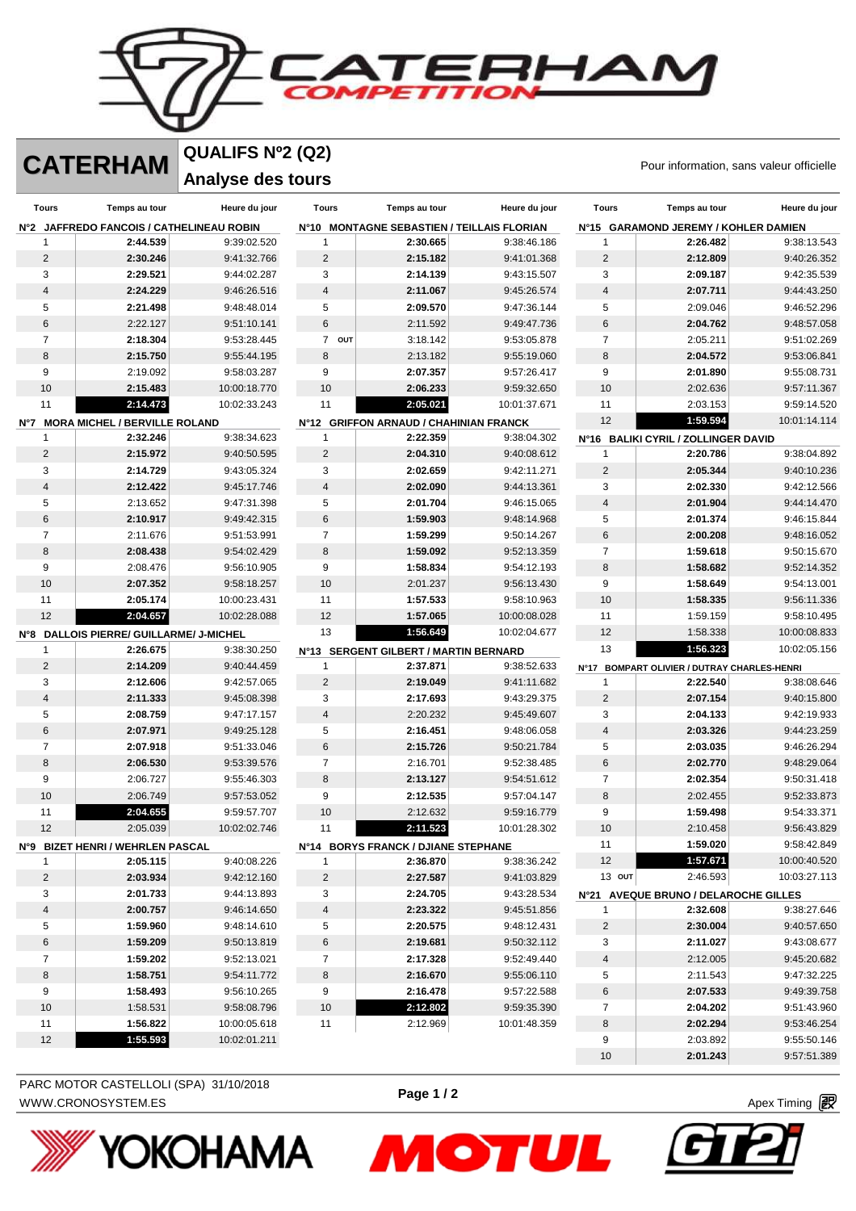RHA

**CATERHAM** QUALIFS Nº2 (Q2)<br>
Pour information, sans valeur officielle **QUALIFS Nº2 (Q2)**

**Analyse des tours** 

| Tours                                    | Temps au tour                           | Heure du jour              | <b>Tours</b>            | Temps au tour                              | Heure du jour              | <b>Tours</b>            | Temps au tour                               | Heure du jour              |
|------------------------------------------|-----------------------------------------|----------------------------|-------------------------|--------------------------------------------|----------------------------|-------------------------|---------------------------------------------|----------------------------|
| N°2 JAFFREDO FANCOIS / CATHELINEAU ROBIN |                                         |                            |                         | N°10 MONTAGNE SEBASTIEN / TEILLAIS FLORIAN |                            |                         | N°15 GARAMOND JEREMY / KOHLER DAMIEN        |                            |
| 1                                        | 2:44.539                                | 9:39:02.520                | 1                       | 2:30.665                                   | 9:38:46.186                | 1                       | 2:26.482                                    | 9:38:13.543                |
| $\sqrt{2}$                               | 2:30.246                                | 9:41:32.766                | $\overline{2}$          | 2:15.182                                   | 9:41:01.368                | $\overline{c}$          | 2:12.809                                    | 9:40:26.352                |
| 3                                        | 2:29.521                                | 9:44:02.287                | 3                       | 2:14.139                                   | 9:43:15.507                | 3                       | 2:09.187                                    | 9:42:35.539                |
| $\overline{\mathbf{4}}$                  | 2:24.229                                | 9:46:26.516                | $\overline{4}$          | 2:11.067                                   | 9:45:26.574                | $\overline{\mathbf{4}}$ | 2:07.711                                    | 9:44:43.250                |
| 5                                        | 2:21.498                                | 9:48:48.014                | 5                       | 2:09.570                                   | 9:47:36.144                | 5                       | 2:09.046                                    | 9:46:52.296                |
| 6                                        | 2:22.127                                | 9:51:10.141                | 6                       | 2:11.592                                   | 9:49:47.736                | 6                       | 2:04.762                                    | 9:48:57.058                |
| $\overline{7}$                           | 2:18.304                                | 9:53:28.445                | 7 OUT                   | 3:18.142                                   | 9:53:05.878                | $\overline{7}$          | 2:05.211                                    | 9:51:02.269                |
| 8                                        | 2:15.750                                | 9:55:44.195                | 8                       | 2:13.182                                   | 9:55:19.060                | 8                       | 2:04.572                                    | 9:53:06.841                |
| 9                                        | 2:19.092                                | 9:58:03.287                | 9                       | 2:07.357                                   | 9:57:26.417                | 9                       | 2:01.890                                    | 9:55:08.731                |
| 10                                       | 2:15.483                                | 10:00:18.770               | 10                      | 2:06.233                                   | 9:59:32.650                | 10                      | 2:02.636                                    | 9:57:11.367                |
| 11                                       | 2:14.473                                | 10:02:33.243               | 11                      | 2:05.021                                   | 10:01:37.671               | 11<br>12                | 2:03.153                                    | 9:59:14.520                |
|                                          | Nº7 MORA MICHEL / BERVILLE ROLAND       |                            |                         | N°12 GRIFFON ARNAUD / CHAHINIAN FRANCK     |                            |                         | 1:59.594                                    | 10:01:14.114               |
| $\mathbf{1}$                             | 2:32.246                                | 9:38:34.623                | $\mathbf{1}$            | 2:22.359                                   | 9:38:04.302                |                         | N°16 BALIKI CYRIL / ZOLLINGER DAVID         |                            |
| $\overline{2}$                           | 2:15.972                                | 9:40:50.595                | $\sqrt{2}$              | 2:04.310                                   | 9:40:08.612                | 1                       | 2:20.786                                    | 9:38:04.892                |
| 3                                        | 2:14.729                                | 9:43:05.324                | 3                       | 2:02.659                                   | 9:42:11.271                | $\mathbf 2$             | 2:05.344                                    | 9:40:10.236                |
| $\overline{\mathbf{4}}$                  | 2:12.422                                | 9:45:17.746                | 4                       | 2:02.090                                   | 9:44:13.361                | 3                       | 2:02.330                                    | 9:42:12.566                |
| 5                                        | 2:13.652                                | 9:47:31.398                | 5                       | 2:01.704                                   | 9:46:15.065                | $\overline{\mathbf{4}}$ | 2:01.904                                    | 9:44:14.470                |
| $6\phantom{1}$                           | 2:10.917                                | 9:49:42.315                | $\,6$                   | 1:59.903                                   | 9:48:14.968                | 5                       | 2:01.374                                    | 9:46:15.844                |
| $\overline{7}$                           | 2:11.676                                | 9:51:53.991                | $\overline{7}$          | 1:59.299                                   | 9:50:14.267                | 6                       | 2:00.208                                    | 9:48:16.052                |
| $\bf8$                                   | 2:08.438                                | 9:54:02.429                | $\,8\,$                 | 1:59.092                                   | 9:52:13.359                | $\overline{7}$          | 1:59.618                                    | 9:50:15.670                |
| 9                                        | 2:08.476                                | 9:56:10.905                | $\boldsymbol{9}$        | 1:58.834                                   | 9:54:12.193                | $\,8\,$                 | 1:58.682                                    | 9:52:14.352                |
| 10                                       | 2:07.352                                | 9:58:18.257                | 10                      | 2:01.237                                   | 9:56:13.430                | $9\,$                   | 1:58.649                                    | 9:54:13.001                |
| 11                                       | 2:05.174                                | 10:00:23.431               | 11                      | 1:57.533                                   | 9:58:10.963                | 10                      | 1:58.335                                    | 9:56:11.336                |
| 12                                       | 2:04.657                                | 10:02:28.088               | 12                      | 1:57.065                                   | 10:00:08.028               | 11                      | 1:59.159                                    | 9:58:10.495                |
|                                          | N°8 DALLOIS PIERRE/ GUILLARME/ J-MICHEL |                            | 13                      | 1:56.649                                   | 10:02:04.677               | 12                      | 1:58.338                                    | 10:00:08.833               |
| $\mathbf{1}$                             | 2:26.675                                | 9:38:30.250                |                         | N°13 SERGENT GILBERT / MARTIN BERNARD      |                            | 13                      | 1:56.323                                    | 10:02:05.156               |
| $\overline{c}$                           | 2:14.209                                | 9:40:44.459                | $\mathbf{1}$            | 2:37.871                                   | 9:38:52.633                |                         | N°17 BOMPART OLIVIER / DUTRAY CHARLES-HENRI |                            |
| 3                                        | 2:12.606                                | 9:42:57.065                | $\sqrt{2}$              | 2:19.049                                   | 9:41:11.682                | 1                       | 2:22.540                                    | 9:38:08.646                |
| 4                                        | 2:11.333                                | 9:45:08.398                | 3                       | 2:17.693                                   | 9:43:29.375                | $\mathbf 2$             | 2:07.154                                    | 9:40:15.800                |
| 5                                        | 2:08.759                                | 9:47:17.157                | $\overline{4}$          | 2:20.232                                   | 9:45:49.607                | 3                       | 2:04.133                                    | 9:42:19.933                |
| 6<br>$\overline{7}$                      | 2:07.971                                | 9:49:25.128                | 5                       | 2:16.451                                   | 9:48:06.058                | $\overline{\mathbf{4}}$ | 2:03.326                                    | 9:44:23.259                |
| 8                                        | 2:07.918<br>2:06.530                    | 9:51:33.046<br>9:53:39.576 | $\,6$<br>$\overline{7}$ | 2:15.726                                   | 9:50:21.784                | 5<br>6                  | 2:03.035<br>2:02.770                        | 9:46:26.294                |
| 9                                        | 2:06.727                                | 9:55:46.303                | 8                       | 2:16.701<br>2:13.127                       | 9:52:38.485<br>9:54:51.612 | $\overline{7}$          | 2:02.354                                    | 9:48:29.064<br>9:50:31.418 |
| 10                                       | 2:06.749                                | 9:57:53.052                | 9                       | 2:12.535                                   | 9:57:04.147                | 8                       | 2:02.455                                    | 9:52:33.873                |
| 11                                       | 2:04.655                                | 9:59:57.707                | 10                      | 2:12.632                                   | 9:59:16.779                | 9                       | 1:59.498                                    | 9:54:33.371                |
| 12                                       | 2:05.039                                | 10:02:02.746               | 11                      | 2:11.523                                   | 10:01:28.302               | 10                      | 2:10.458                                    | 9:56:43.829                |
|                                          | Nº9 BIZET HENRI / WEHRLEN PASCAL        |                            |                         | N°14 BORYS FRANCK / DJIANE STEPHANE        |                            | 11                      | 1:59.020                                    | 9:58:42.849                |
| 1                                        | 2:05.115                                | 9:40:08.226                | 1                       | 2:36.870                                   | 9:38:36.242                | 12                      | 1:57.671                                    | 10:00:40.520               |
| 2                                        | 2:03.934                                | 9:42:12.160                | 2                       | 2:27.587                                   | 9:41:03.829                | $13$ out                | 2:46.593                                    | 10:03:27.113               |
| 3                                        | 2:01.733                                | 9:44:13.893                | 3                       | 2:24.705                                   | 9:43:28.534                |                         | N°21 AVEQUE BRUNO / DELAROCHE GILLES        |                            |
| 4                                        | 2:00.757                                | 9:46:14.650                | 4                       | 2:23.322                                   | 9:45:51.856                | 1                       | 2:32.608                                    | 9:38:27.646                |
| 5                                        | 1:59.960                                | 9:48:14.610                | 5                       | 2:20.575                                   | 9:48:12.431                | 2                       | 2:30.004                                    | 9:40:57.650                |
| 6                                        | 1:59.209                                | 9:50:13.819                | 6                       | 2:19.681                                   | 9:50:32.112                | 3                       | 2:11.027                                    | 9:43:08.677                |
| 7                                        | 1:59.202                                | 9:52:13.021                | 7                       | 2:17.328                                   | 9:52:49.440                | 4                       | 2:12.005                                    | 9:45:20.682                |
| 8                                        | 1:58.751                                | 9:54:11.772                | 8                       | 2:16.670                                   | 9:55:06.110                | 5                       | 2:11.543                                    | 9:47:32.225                |
| 9                                        | 1:58.493                                | 9:56:10.265                | 9                       | 2:16.478                                   | 9:57:22.588                | 6                       | 2:07.533                                    | 9:49:39.758                |
| 10                                       | 1:58.531                                | 9:58:08.796                | 10                      | 2:12.802                                   | 9:59:35.390                | 7                       | 2:04.202                                    | 9:51:43.960                |
| 11                                       | 1:56.822                                | 10:00:05.618               | 11                      | 2:12.969                                   | 10:01:48.359               | 8                       | 2:02.294                                    | 9:53:46.254                |
| 12                                       | 1:55.593                                | 10:02:01.211               |                         |                                            |                            | 9                       | 2:03.892                                    | 9:55:50.146                |
|                                          |                                         |                            |                         |                                            |                            | 10                      | 2:01.243                                    | 9:57:51.389                |

Ŀ



**Page 1 / 2**

**MOTUL** 

WWW.CRONOSYSTEM.ES **Page 172 Page 172 Apex Timing** *图* PARC MOTOR CASTELLOLI (SPA) 31/10/2018